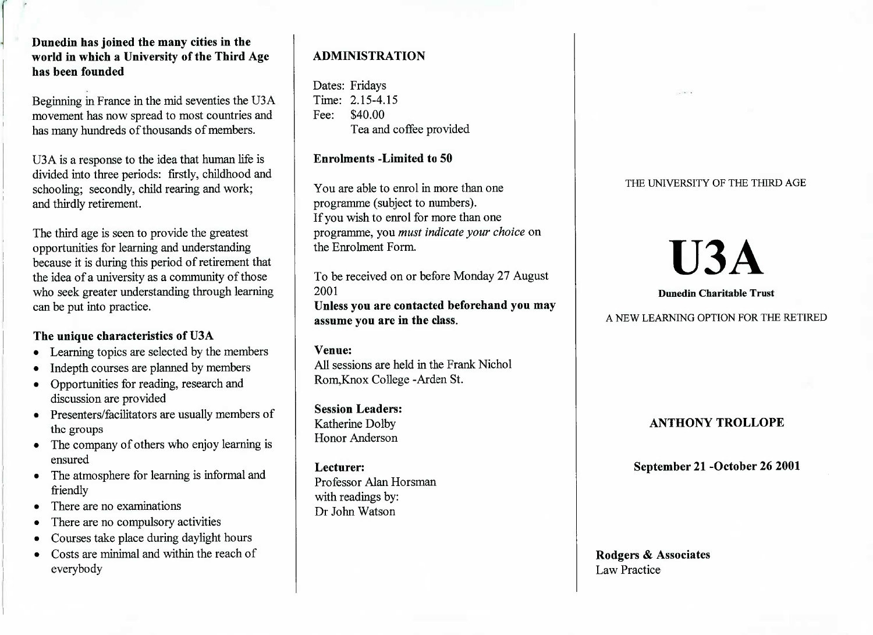**Dunedin has joined the many cities in the world in which a University of the Third Agehas been founded**

Beginning in France in the mid seventies the U3A movement has now spread to most countries andhas many hundreds of thousands of members.

USA is a response to the idea that human life is divided into three periods: firstly, childhood andschooling; secondly, child rearing and work;and thirdly retirement.

The third age is seen to provide the greatest opportunities for learning and understanding because it is during this period of retirement thatthe idea of a university as a community of those who seek greater understanding through learningcan be put into practice.

## **The unique characteristics of U3A**

- Learning topics are selected by the members
- Indepth courses are planned by members
- Opportunities for reading, research anddiscussion are provided
- Presenters/facilitators are usually members ofthe groups
- The company of others who enjoy learning isensured
- The atmosphere for learning is informal andfriendly
- There are no examinations
- There are no compulsory activities
- Courses take place during daylight hours
- Costs are minimal and within the reach ofeverybody

# **ADMINISTRATION**

Dates: Fridays Time: 2.15-4.15Fee: \$40.00I'ea and coffee provided

## **Enrolments -Limited to 50**

You are able to enrol in more than oneprogramme (subject to numbers). If you wish to enrol for more than one programme, you *must indicate your choice* onthe Enrolment Form.

To be received on or before Monday 27 August2001 **Unless you are contacted beforehand you mayassume you are in the class.**

## **Venue:**

 All sessions are held in the Frank NicholRom,Knox College -Arden St.

**Session Leaders:**Katherine Dolby Honor Anderson

**Lecturer:** Professor Alan Horsmanwith readings by:Dr John Watson

## THE UNIVERSITY OF THE THIRD AGE

# U3A

**Dunedin Charitable Trust**

A NEW LEARNING OPTION FOR THE RETIRED

## **ANTHONY TROLLOPE**

**September 21 -October 26 2001**

**Rodgers & Associates**Law Practice